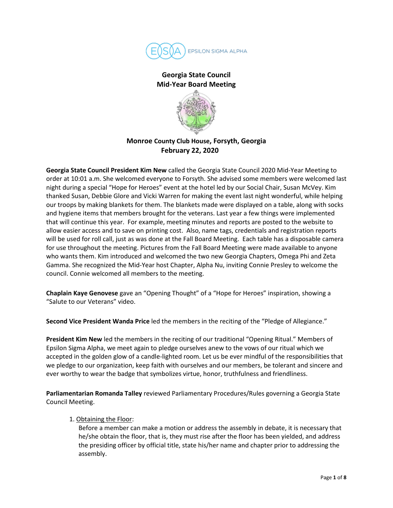

# **Georgia State Council Mid-Year Board Meeting**



# **Monroe County Club House, Forsyth, Georgia February 22, 2020**

**Georgia State Council President Kim New** called the Georgia State Council 2020 Mid-Year Meeting to order at 10:01 a.m. She welcomed everyone to Forsyth. She advised some members were welcomed last night during a special "Hope for Heroes" event at the hotel led by our Social Chair, Susan McVey. Kim thanked Susan, Debbie Glore and Vicki Warren for making the event last night wonderful, while helping our troops by making blankets for them. The blankets made were displayed on a table, along with socks and hygiene items that members brought for the veterans. Last year a few things were implemented that will continue this year. For example, meeting minutes and reports are posted to the website to allow easier access and to save on printing cost. Also, name tags, credentials and registration reports will be used for roll call, just as was done at the Fall Board Meeting. Each table has a disposable camera for use throughout the meeting. Pictures from the Fall Board Meeting were made available to anyone who wants them. Kim introduced and welcomed the two new Georgia Chapters, Omega Phi and Zeta Gamma. She recognized the Mid-Year host Chapter, Alpha Nu, inviting Connie Presley to welcome the council. Connie welcomed all members to the meeting.

**Chaplain Kaye Genovese** gave an "Opening Thought" of a "Hope for Heroes" inspiration, showing a "Salute to our Veterans" video.

**Second Vice President Wanda Price** led the members in the reciting of the "Pledge of Allegiance."

**President Kim New** led the members in the reciting of our traditional "Opening Ritual." Members of Epsilon Sigma Alpha, we meet again to pledge ourselves anew to the vows of our ritual which we accepted in the golden glow of a candle-lighted room. Let us be ever mindful of the responsibilities that we pledge to our organization, keep faith with ourselves and our members, be tolerant and sincere and ever worthy to wear the badge that symbolizes virtue, honor, truthfulness and friendliness.

**Parliamentarian Romanda Talley** reviewed Parliamentary Procedures/Rules governing a Georgia State Council Meeting.

## 1. Obtaining the Floor:

Before a member can make a motion or address the assembly in debate, it is necessary that he/she obtain the floor, that is, they must rise after the floor has been yielded, and address the presiding officer by official title, state his/her name and chapter prior to addressing the assembly.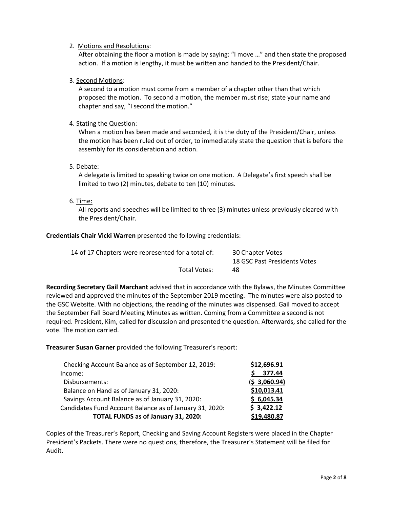## 2. Motions and Resolutions:

After obtaining the floor a motion is made by saying: "I move …" and then state the proposed action. If a motion is lengthy, it must be written and handed to the President/Chair.

# 3. Second Motions:

A second to a motion must come from a member of a chapter other than that which proposed the motion. To second a motion, the member must rise; state your name and chapter and say, "I second the motion."

## 4. Stating the Question:

When a motion has been made and seconded, it is the duty of the President/Chair, unless the motion has been ruled out of order, to immediately state the question that is before the assembly for its consideration and action.

## 5. Debate:

A delegate is limited to speaking twice on one motion. A Delegate's first speech shall be limited to two (2) minutes, debate to ten (10) minutes.

## 6. Time:

All reports and speeches will be limited to three (3) minutes unless previously cleared with the President/Chair.

## **Credentials Chair Vicki Warren** presented the following credentials:

| 14 of 17 Chapters were represented for a total of: | 30 Chapter Votes             |
|----------------------------------------------------|------------------------------|
|                                                    | 18 GSC Past Presidents Votes |
| Total Votes:                                       | 48                           |

**Recording Secretary Gail Marchant** advised that in accordance with the Bylaws, the Minutes Committee reviewed and approved the minutes of the September 2019 meeting. The minutes were also posted to the GSC Website. With no objections, the reading of the minutes was dispensed. Gail moved to accept the September Fall Board Meeting Minutes as written. Coming from a Committee a second is not required. President, Kim, called for discussion and presented the question. Afterwards, she called for the vote. The motion carried.

**Treasurer Susan Garner** provided the following Treasurer's report:

| Checking Account Balance as of September 12, 2019:      | \$12,696.91   |
|---------------------------------------------------------|---------------|
| Income:                                                 | 377.44        |
| Disbursements:                                          | (5, 3,060.94) |
| Balance on Hand as of January 31, 2020:                 | \$10,013.41   |
| Savings Account Balance as of January 31, 2020:         | \$6,045.34    |
| Candidates Fund Account Balance as of January 31, 2020: | \$3,422.12    |
| TOTAL FUNDS as of January 31, 2020:                     | \$19,480.87   |

Copies of the Treasurer's Report, Checking and Saving Account Registers were placed in the Chapter President's Packets. There were no questions, therefore, the Treasurer's Statement will be filed for Audit.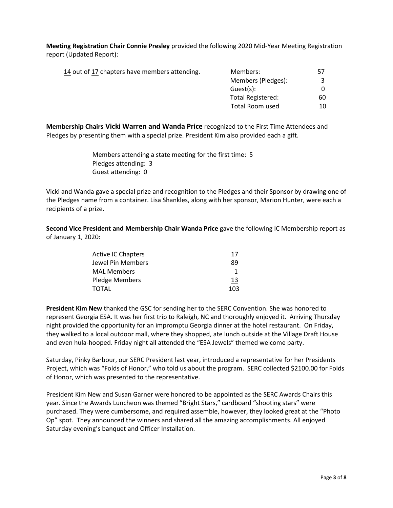**Meeting Registration Chair Connie Presley** provided the following 2020 Mid-Year Meeting Registration report (Updated Report):

| 14 out of 17 chapters have members attending. | Members:           | 57 |
|-----------------------------------------------|--------------------|----|
|                                               | Members (Pledges): |    |
|                                               | Guest(s):          |    |
|                                               | Total Registered:  | 60 |
|                                               | Total Room used    | 10 |

**Membership Chairs Vicki Warren and Wanda Price** recognized to the First Time Attendees and Pledges by presenting them with a special prize. President Kim also provided each a gift.

> Members attending a state meeting for the first time: 5 Pledges attending: 3 Guest attending: 0

Vicki and Wanda gave a special prize and recognition to the Pledges and their Sponsor by drawing one of the Pledges name from a container. Lisa Shankles, along with her sponsor, Marion Hunter, were each a recipients of a prize.

**Second Vice President and Membership Chair Wanda Price** gave the following IC Membership report as of January 1, 2020:

| <b>Active IC Chapters</b> | 17  |
|---------------------------|-----|
| Jewel Pin Members         | 89  |
| <b>MAL Members</b>        | ำ   |
| Pledge Members            | 13  |
| TOTAL                     | 103 |

**President Kim New** thanked the GSC for sending her to the SERC Convention. She was honored to represent Georgia ESA. It was her first trip to Raleigh, NC and thoroughly enjoyed it. Arriving Thursday night provided the opportunity for an impromptu Georgia dinner at the hotel restaurant. On Friday, they walked to a local outdoor mall, where they shopped, ate lunch outside at the Village Draft House and even hula-hooped. Friday night all attended the "ESA Jewels" themed welcome party.

Saturday, Pinky Barbour, our SERC President last year, introduced a representative for her Presidents Project, which was "Folds of Honor," who told us about the program. SERC collected \$2100.00 for Folds of Honor, which was presented to the representative.

President Kim New and Susan Garner were honored to be appointed as the SERC Awards Chairs this year. Since the Awards Luncheon was themed "Bright Stars," cardboard "shooting stars" were purchased. They were cumbersome, and required assemble, however, they looked great at the "Photo Op" spot. They announced the winners and shared all the amazing accomplishments. All enjoyed Saturday evening's banquet and Officer Installation.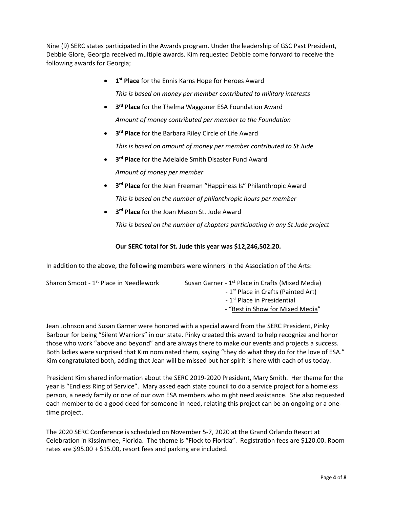Nine (9) SERC states participated in the Awards program. Under the leadership of GSC Past President, Debbie Glore, Georgia received multiple awards. Kim requested Debbie come forward to receive the following awards for Georgia;

- **1st Place** for the Ennis Karns Hope for Heroes Award *This is based on money per member contributed to military interests*
- **3rd Place** for the Thelma Waggoner ESA Foundation Award *Amount of money contributed per member to the Foundation*
- **3rd Place** for the Barbara Riley Circle of Life Award *This is based on amount of money per member contributed to St Jude*
- **3rd Place** for the Adelaide Smith Disaster Fund Award *Amount of money per member*
- **3rd Place** for the Jean Freeman "Happiness Is" Philanthropic Award *This is based on the number of philanthropic hours per member*
- **3rd Place** for the Joan Mason St. Jude Award

*This is based on the number of chapters participating in any St Jude project*

# **Our SERC total for St. Jude this year was \$12,246,502.20.**

In addition to the above, the following members were winners in the Association of the Arts:

| Sharon Smoot - 1 <sup>st</sup> Place in Needlework | Susan Garner - 1 <sup>st</sup> Place in Crafts (Mixed Media) |
|----------------------------------------------------|--------------------------------------------------------------|
|                                                    | - 1 <sup>st</sup> Place in Crafts (Painted Art)              |
|                                                    | - 1 <sup>st</sup> Place in Presidential                      |
|                                                    | - "Best in Show for Mixed Media"                             |

Jean Johnson and Susan Garner were honored with a special award from the SERC President, Pinky Barbour for being "Silent Warriors" in our state. Pinky created this award to help recognize and honor those who work "above and beyond" and are always there to make our events and projects a success. Both ladies were surprised that Kim nominated them, saying "they do what they do for the love of ESA." Kim congratulated both, adding that Jean will be missed but her spirit is here with each of us today.

President Kim shared information about the SERC 2019-2020 President, Mary Smith. Her theme for the year is "Endless Ring of Service". Mary asked each state council to do a service project for a homeless person, a needy family or one of our own ESA members who might need assistance. She also requested each member to do a good deed for someone in need, relating this project can be an ongoing or a onetime project.

The 2020 SERC Conference is scheduled on November 5-7, 2020 at the Grand Orlando Resort at Celebration in Kissimmee, Florida. The theme is "Flock to Florida". Registration fees are \$120.00. Room rates are \$95.00 + \$15.00, resort fees and parking are included.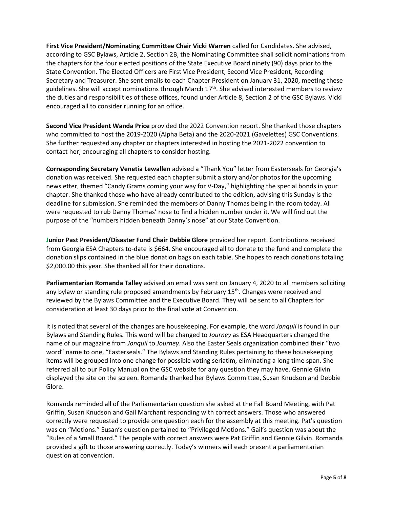**First Vice President/Nominating Committee Chair Vicki Warren** called for Candidates. She advised, according to GSC Bylaws, Article 2, Section 2B, the Nominating Committee shall solicit nominations from the chapters for the four elected positions of the State Executive Board ninety (90) days prior to the State Convention. The Elected Officers are First Vice President, Second Vice President, Recording Secretary and Treasurer. She sent emails to each Chapter President on January 31, 2020, meeting these guidelines. She will accept nominations through March  $17<sup>th</sup>$ . She advised interested members to review the duties and responsibilities of these offices, found under Article 8, Section 2 of the GSC Bylaws. Vicki encouraged all to consider running for an office.

**Second Vice President Wanda Price** provided the 2022 Convention report. She thanked those chapters who committed to host the 2019-2020 (Alpha Beta) and the 2020-2021 (Gavelettes) GSC Conventions. She further requested any chapter or chapters interested in hosting the 2021-2022 convention to contact her, encouraging all chapters to consider hosting.

**Corresponding Secretary Venetia Lewallen** advised a "Thank You" letter from Easterseals for Georgia's donation was received. She requested each chapter submit a story and/or photos for the upcoming newsletter, themed "Candy Grams coming your way for V-Day," highlighting the special bonds in your chapter. She thanked those who have already contributed to the edition, advising this Sunday is the deadline for submission. She reminded the members of Danny Thomas being in the room today. All were requested to rub Danny Thomas' nose to find a hidden number under it. We will find out the purpose of the "numbers hidden beneath Danny's nose" at our State Convention.

**Junior Past President/Disaster Fund Chair Debbie Glore** provided her report. Contributions received from Georgia ESA Chapters to-date is \$664. She encouraged all to donate to the fund and complete the donation slips contained in the blue donation bags on each table. She hopes to reach donations totaling \$2,000.00 this year. She thanked all for their donations.

**Parliamentarian Romanda Talley** advised an email was sent on January 4, 2020 to all members soliciting any bylaw or standing rule proposed amendments by February 15<sup>th</sup>. Changes were received and reviewed by the Bylaws Committee and the Executive Board. They will be sent to all Chapters for consideration at least 30 days prior to the final vote at Convention.

It is noted that several of the changes are housekeeping. For example, the word *Jonquil* is found in our Bylaws and Standing Rules*.* This word will be changed to *Journey* as ESA Headquarters changed the name of our magazine from *Jonquil* to *Journey*. Also the Easter Seals organization combined their "two word" name to one, "Easterseals." The Bylaws and Standing Rules pertaining to these housekeeping items will be grouped into one change for possible voting seriatim, eliminating a long time span. She referred all to our Policy Manual on the GSC website for any question they may have. Gennie Gilvin displayed the site on the screen. Romanda thanked her Bylaws Committee, Susan Knudson and Debbie Glore.

Romanda reminded all of the Parliamentarian question she asked at the Fall Board Meeting, with Pat Griffin, Susan Knudson and Gail Marchant responding with correct answers. Those who answered correctly were requested to provide one question each for the assembly at this meeting. Pat's question was on "Motions." Susan's question pertained to "Privileged Motions." Gail's question was about the "Rules of a Small Board." The people with correct answers were Pat Griffin and Gennie Gilvin. Romanda provided a gift to those answering correctly. Today's winners will each present a parliamentarian question at convention.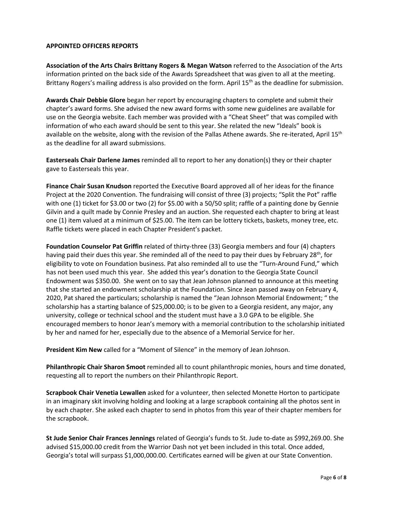#### **APPOINTED OFFICERS REPORTS**

**Association of the Arts Chairs Brittany Rogers & Megan Watson** referred to the Association of the Arts information printed on the back side of the Awards Spreadsheet that was given to all at the meeting. Brittany Rogers's mailing address is also provided on the form. April  $15<sup>th</sup>$  as the deadline for submission.

**Awards Chair Debbie Glore** began her report by encouraging chapters to complete and submit their chapter's award forms. She advised the new award forms with some new guidelines are available for use on the Georgia website. Each member was provided with a "Cheat Sheet" that was compiled with information of who each award should be sent to this year. She related the new "Ideals" book is available on the website, along with the revision of the Pallas Athene awards. She re-iterated, April 15<sup>th</sup> as the deadline for all award submissions.

**Easterseals Chair Darlene James** reminded all to report to her any donation(s) they or their chapter gave to Easterseals this year.

**Finance Chair Susan Knudson** reported the Executive Board approved all of her ideas for the finance Project at the 2020 Convention. The fundraising will consist of three (3) projects; "Split the Pot" raffle with one (1) ticket for \$3.00 or two (2) for \$5.00 with a 50/50 split; raffle of a painting done by Gennie Gilvin and a quilt made by Connie Presley and an auction. She requested each chapter to bring at least one (1) item valued at a minimum of \$25.00. The item can be lottery tickets, baskets, money tree, etc. Raffle tickets were placed in each Chapter President's packet.

**Foundation Counselor Pat Griffin** related of thirty-three (33) Georgia members and four (4) chapters having paid their dues this year. She reminded all of the need to pay their dues by February 28<sup>th</sup>, for eligibility to vote on Foundation business. Pat also reminded all to use the "Turn-Around Fund," which has not been used much this year. She added this year's donation to the Georgia State Council Endowment was \$350.00. She went on to say that Jean Johnson planned to announce at this meeting that she started an endowment scholarship at the Foundation. Since Jean passed away on February 4, 2020, Pat shared the particulars; scholarship is named the "Jean Johnson Memorial Endowment; " the scholarship has a starting balance of \$25,000.00; is to be given to a Georgia resident, any major, any university, college or technical school and the student must have a 3.0 GPA to be eligible. She encouraged members to honor Jean's memory with a memorial contribution to the scholarship initiated by her and named for her, especially due to the absence of a Memorial Service for her.

**President Kim New** called for a "Moment of Silence" in the memory of Jean Johnson.

**Philanthropic Chair Sharon Smoot** reminded all to count philanthropic monies, hours and time donated, requesting all to report the numbers on their Philanthropic Report.

**Scrapbook Chair Venetia Lewallen** asked for a volunteer, then selected Monette Horton to participate in an imaginary skit involving holding and looking at a large scrapbook containing all the photos sent in by each chapter. She asked each chapter to send in photos from this year of their chapter members for the scrapbook.

**St Jude Senior Chair Frances Jennings** related of Georgia's funds to St. Jude to-date as \$992,269.00. She advised \$15,000.00 credit from the Warrior Dash not yet been included in this total. Once added, Georgia's total will surpass \$1,000,000.00. Certificates earned will be given at our State Convention.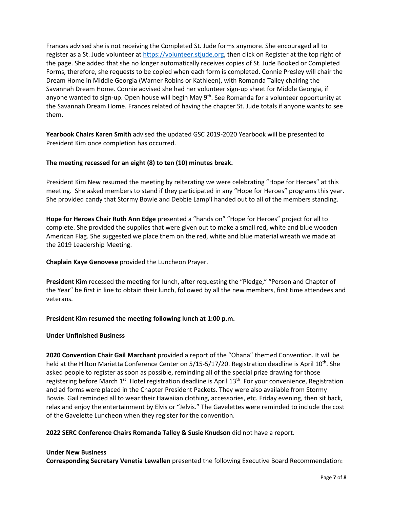Frances advised she is not receiving the Completed St. Jude forms anymore. She encouraged all to register as a St. Jude volunteer at [https://volunteer.stjude.org,](https://volunteer.stjude.org/) then click on Register at the top right of the page. She added that she no longer automatically receives copies of St. Jude Booked or Completed Forms, therefore, she requests to be copied when each form is completed. Connie Presley will chair the Dream Home in Middle Georgia (Warner Robins or Kathleen), with Romanda Talley chairing the Savannah Dream Home. Connie advised she had her volunteer sign-up sheet for Middle Georgia, if anyone wanted to sign-up. Open house will begin May 9<sup>th</sup>. See Romanda for a volunteer opportunity at the Savannah Dream Home. Frances related of having the chapter St. Jude totals if anyone wants to see them.

**Yearbook Chairs Karen Smith** advised the updated GSC 2019-2020 Yearbook will be presented to President Kim once completion has occurred.

## **The meeting recessed for an eight (8) to ten (10) minutes break.**

President Kim New resumed the meeting by reiterating we were celebrating "Hope for Heroes" at this meeting. She asked members to stand if they participated in any "Hope for Heroes" programs this year. She provided candy that Stormy Bowie and Debbie Lamp'l handed out to all of the members standing.

**Hope for Heroes Chair Ruth Ann Edge** presented a "hands on" "Hope for Heroes" project for all to complete. She provided the supplies that were given out to make a small red, white and blue wooden American Flag. She suggested we place them on the red, white and blue material wreath we made at the 2019 Leadership Meeting.

**Chaplain Kaye Genovese** provided the Luncheon Prayer.

**President Kim** recessed the meeting for lunch, after requesting the "Pledge," "Person and Chapter of the Year" be first in line to obtain their lunch, followed by all the new members, first time attendees and veterans.

**President Kim resumed the meeting following lunch at 1:00 p.m.**

#### **Under Unfinished Business**

**2020 Convention Chair Gail Marchant** provided a report of the "Ohana" themed Convention. It will be held at the Hilton Marietta Conference Center on 5/15-5/17/20. Registration deadline is April 10th. She asked people to register as soon as possible, reminding all of the special prize drawing for those registering before March  $1^{st}$ . Hotel registration deadline is April  $13^{th}$ . For your convenience, Registration and ad forms were placed in the Chapter President Packets. They were also available from Stormy Bowie. Gail reminded all to wear their Hawaiian clothing, accessories, etc. Friday evening, then sit back, relax and enjoy the entertainment by Elvis or "Jelvis." The Gavelettes were reminded to include the cost of the Gavelette Luncheon when they register for the convention.

**2022 SERC Conference Chairs Romanda Talley & Susie Knudson** did not have a report.

#### **Under New Business**

**Corresponding Secretary Venetia Lewallen** presented the following Executive Board Recommendation: